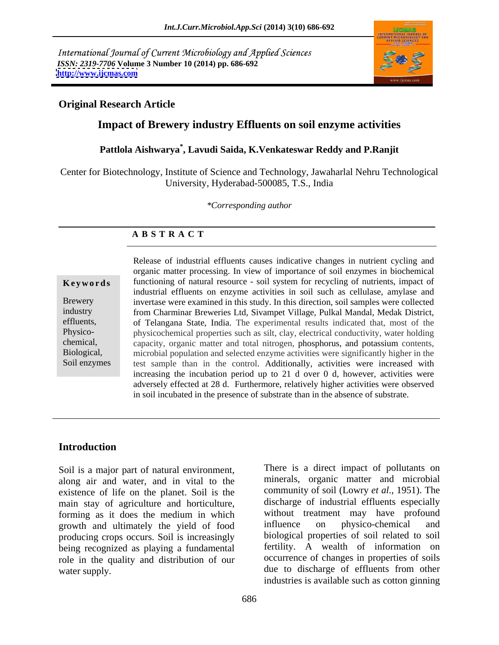International Journal of Current Microbiology and Applied Sciences *ISSN: 2319-7706* **Volume 3 Number 10 (2014) pp. 686-692 <http://www.ijcmas.com>**



## **Original Research Article**

## **Impact of Brewery industry Effluents on soil enzyme activities**

## **Pattlola Aishwarya\* , Lavudi Saida, K.Venkateswar Reddy and P.Ranjit**

Center for Biotechnology, Institute of Science and Technology, Jawaharlal Nehru Technological University, Hyderabad-500085, T.S., India

*\*Corresponding author*

### **A B S T R A C T**

**Keywords** functioning of natural resource - soil system for recycling of nutrients, impact of Brewery invertase were examined in this study. In this direction, soil samples were collected industry from Charminar Breweries Ltd, Sivampet Village, Pulkal Mandal, Medak District, effluents, of Telangana State, India. The experimental results indicated that, most of the Physico- physicochemical properties such as silt, clay, electrical conductivity, water holding chemical, capacity, organic matter and total nitrogen, phosphorus, and potassium contents, Biological, microbial population and selected enzyme activities were significantly higher in the Soil enzymes test sample than in the control. Additionally, activities were increased with Release of industrial effluents causes indicative changes in nutrient cycling and organic matter processing. In view of importance of soil enzymes in biochemical industrial effluents on enzyme activities in soil such as cellulase, amylase and increasing the incubation period up to 21 d over 0 d, however, activities were adversely effected at 28 d. Furthermore, relatively higher activities were observed in soil incubated in the presence of substrate than in the absence of substrate.

### **Introduction**

Soil is a major part of natural environment, along air and water, and in vital to the existence of life on the planet. Soil is the main stay of agriculture and horticulture, forming as it does the medium in which without treatment may have profound<br>growth and ultimately the vield of food influence on physico-chemical and growth and ultimately the yield of food producing crops occurs. Soil is increasingly being recognized as playing a fundamental role in the quality and distribution of our

water supply. due to discharge of effluents from other There is a direct impact of pollutants on minerals, organic matter and microbial community of soil (Lowry *et al*., 1951). The discharge of industrial effluents especially without treatment may have profound influence on physico-chemical and biological properties of soil related to soil fertility. A wealth of information on occurrence of changes in properties of soils industries is available such as cotton ginning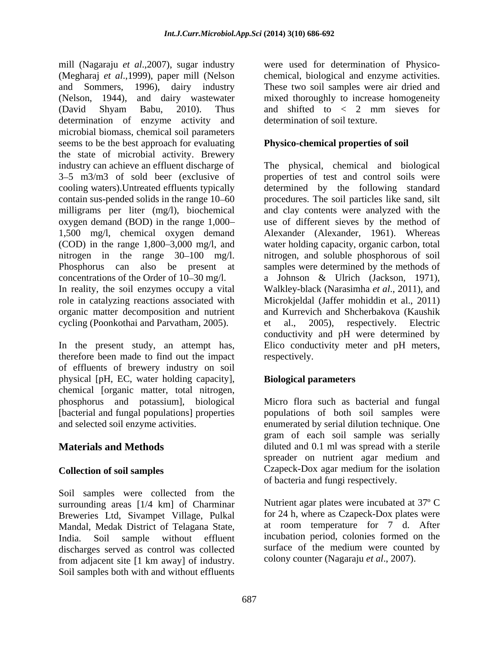mill (Nagaraju *et al*.,2007), sugar industry (Megharaj *et al*.,1999), paper mill (Nelson and Sommers, 1996), dairy industry These two soil samples were air dried and (Nelson, 1944), and dairy wastewater mixed thoroughly to increase homogeneity (David Shyam Babu, 2010). Thus and shifted to  $\lt$  2 mm sieves for determination of enzyme activity and microbial biomass, chemical soil parameters seems to be the best approach for evaluating the state of microbial activity. Brewery industry can achieve an effluent discharge of The physical, chemical and biological 3 5 m3/m3 of sold beer (exclusive of properties of test and control soils were cooling waters).Untreated effluents typically determined by the following standard contain sus-pended solids in the range 10–60 procedures. The soil particles like sand, silt milligrams per liter (mg/l), biochemical oxygen demand (BOD) in the range 1,000 1,500 mg/l, chemical oxygen demand Alexander (Alexander, 1961). Whereas (COD) in the range 1,800–3,000 mg/l, and water holding capacity, organic carbon, total nitrogen in the range 30–100 mg/l. nitrogen, and soluble phosphorous of soil Phosphorus can also be present at samples were determined by the methods of concentrations of the Order of 10–30 mg/l. In reality, the soil enzymes occupy a vital Walkley-black (Narasimha *et al*., 2011), and role in catalyzing reactions associated with Microkjeldal (Jaffer mohiddin et al., 2011) organic matter decomposition and nutrient cycling (Poonkothai and Parvatham, 2005). et al., 2005), respectively. Electric

therefore been made to find out the impact of effluents of brewery industry on soil physical [pH, EC, water holding capacity], chemical [organic matter, total nitrogen, phosphorus and potassium], biological Micro flora such as bacterial and fungal [bacterial and fungal populations] properties

Soil samples were collected from the surrounding areas [1/4 km] of Charminar Breweries Ltd, Sivampet Village, Pulkal Mandal, Medak District of Telagana State, discharges served as control was collected from adjacent site [1 km away] of industry. Soil samples both with and without effluents

were used for determination of Physico chemical, biological and enzyme activities. and shifted to < 2 mm sieves for determination of soil texture.

# **Physico-chemical properties of soil**

In the present study, an attempt has, Elico conductivity meter and pH meters, and clay contents were analyzed with the use of different sieves by the method of a Johnson & Ulrich (Jackson, 1971), and Kurrevich and Shcherbakova (Kaushik et al., 2005), respectively. Electric conductivity and pH were determined by respectively.

# **Biological parameters**

and selected soil enzyme activities. enumerated by serial dilution technique. One **Materials and Methods diluted and 0.1 ml was spread with a sterile Collection of soil samples** Czapeck-Dox agar medium for the isolation populations of both soil samples were gram of each soil sample was serially spreader on nutrient agar medium and of bacteria and fungi respectively.

India. Soil sample without effluent incubation period, colonies formed on the Nutrient agar plates were incubated at 37º C for 24 h, where as Czapeck-Dox plates were at room temperature for 7 d. After surface of the medium were counted by colony counter (Nagaraju *et al*., 2007).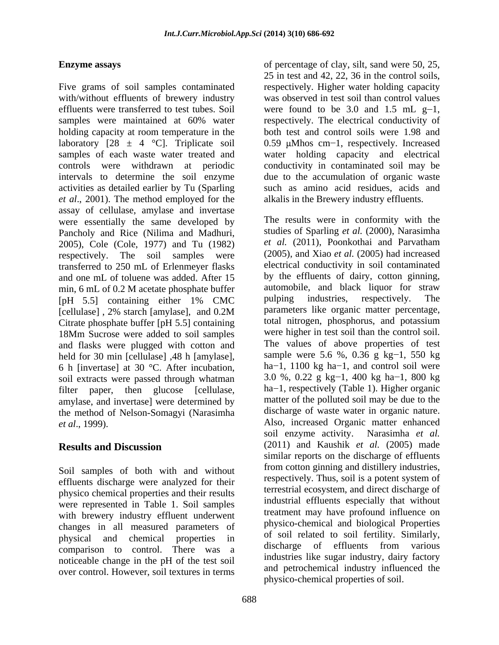Five grams of soil samples contaminated with/without effluents of brewery industry was observed in test soil than control values effluents were transferred to test tubes. Soil samples were maintained at 60% water respectively. The electrical conductivity of holding capacity at room temperature in the both test and control soils were 1.98 and laboratory  $[28 \pm 4 \degree C]$ . Triplicate soil 0.59  $\mu$ Mhos cm-1, respectively. Increased samples of each waste water treated and water holding capacity and electrical controls were withdrawn at periodic conductivity in contaminated soil may be intervals to determine the soil enzyme activities as detailed earlier by Tu (Sparling *et al*., 2001). The method employed for the assay of cellulase, amylase and invertase were essentially the same developed by Pancholy and Rice (Nilima and Madhuri, 2005), Cole (Cole, 1977) and Tu (1982) transferred to 250 mL of Erlenmeyer flasks and one mL of toluene was added. After 15 min, 6 mL of 0.2 M acetate phosphate buffer automobile, and black liquor for straw<br>
[pH 5.5] containing either 1% CMC pulping industries, respectively. The Citrate phosphate buffer [pH 5.5] containing 18Mm Sucrose were added to soil samples and flasks were plugged with cotton and held for 30 min [cellulase], 48 h [amylase], 6 h [invertase] at 30 °C. After incubation, soil extracts were passed through whatman filter paper, then glucose [cellulase, amylase, and invertase] were determined by the method of Nelson-Somagyi (Narasimha

Soil samples of both with and without effluents discharge were analyzed for their physico chemical properties and their results were represented in Table 1. Soil samples with brewery industry effluent underwent changes in all measured parameters of physical and chemical properties in the office of effluents from various properties of effluents from various comparison to control. There was a noticeable change in the pH of the test soil over control. However, soil textures in terms

**Enzyme assays** of percentage of clay, silt, sand were 50, 25, 25 in test and 42, 22, 36 in the control soils, respectively. Higher water holding capacity were found to be 3.0 and 1.5 mL  $g-1$ , due to the accumulation of organic waste such as amino acid residues, acids and alkalis in the Brewery industry effluents.

respectively. The soil samples were (2005), and Xiao *et al.* (2005) had increased [pH 5.5] containing either 1% CMC [cellulase] , 2% starch [amylase], and 0.2M *et al*., 1999). Also, increased Organic matter enhanced **Results and Discussion** (2011) and Kaushik *et al.* (2005) made The results were in conformity with the studies of Sparling *et al.* (2000), Narasimha *et al.* (2011), Poonkothai and Parvatham electrical conductivity in soil contaminated by the effluents of dairy, cotton ginning, automobile, and black liquor for straw pulping industries, respectively. The parameters like organic matter percentage, total nitrogen, phosphorus, and potassium were higher in test soil than the control soil. The values of above properties of test sample were 5.6 %, 0.36 g kg-1, 550 kg ha $-1$ , 1100 kg ha $-1$ , and control soil were 3.0 %, 0.22 g kg-1, 400 kg ha-1, 800 kg ha $-1$ , respectively (Table 1). Higher organic matter of the polluted soil may be due to the discharge of waste water in organic nature. soil enzyme activity. Narasimha *et al.* (2011) and Kaushik *et al.* (2005) made similar reports on the discharge of effluents from cotton ginning and distillery industries, respectively. Thus, soil is a potent system of terrestrial ecosystem, and direct discharge of industrial effluents especially that without treatment may have profound influence on physico-chemical and biological Properties of soil related to soil fertility. Similarly, discharge of effluents from various industries like sugar industry, dairy factory and petrochemical industry influenced the physico-chemical properties of soil.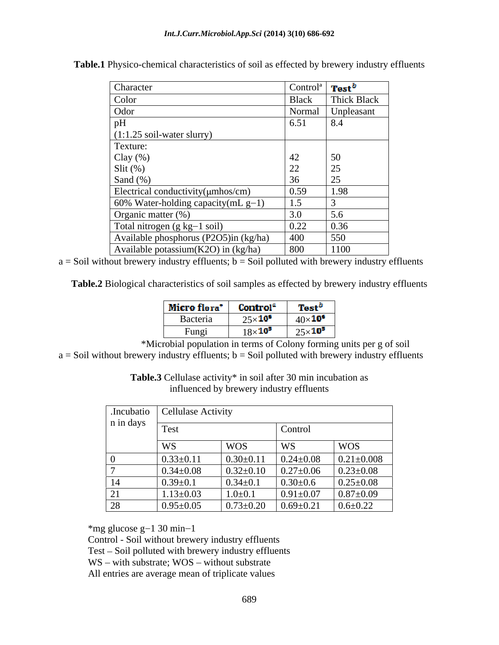| Character                                                             | Control <sup>a</sup> <b>Test</b> <sup>b</sup> |             |
|-----------------------------------------------------------------------|-----------------------------------------------|-------------|
| Color                                                                 | <b>Black</b>                                  | Thick Black |
| Odor                                                                  | Normal                                        | Unpleasant  |
| pH                                                                    | 6.51                                          | 8.4         |
| $(1:1.25 \text{ soil-water slurry})$                                  |                                               |             |
| Texture:                                                              |                                               |             |
|                                                                       |                                               | 50          |
| $\begin{array}{c} \text{Clay } (\%) \\ \text{Slit } (\%) \end{array}$ |                                               |             |
| Sand $(\%)$                                                           |                                               |             |
| Electrical conductivity( $\mu$ mhos/cm)                               | 0.59                                          | 1.98        |
| 60% Water-holding capacity (mL $g-1$ )                                | 1.5                                           |             |
| Organic matter (%)                                                    | $\Omega$                                      | 5.6         |
| Total nitrogen (g kg-1 soil)                                          | 0.22                                          | 0.36        |
| Available phosphorus (P2O5)in (kg/ha)                                 | 400                                           | 550         |
| Available potassium $(K2O)$ in $(kg/ha)$                              | 800                                           | 1100        |

**Table.1** Physico-chemical characteristics of soil as effected by brewery industry effluents

 $a =$  Soil without brewery industry effluents;  $b =$  Soil polluted with brewery industry effluents

**Table.2** Biological characteristics of soil samples as effected by brewery industry effluents

| Micro flora <sup>*</sup> | Control"        | Test'          |
|--------------------------|-----------------|----------------|
| Bacteria                 | $25\times10^6$  | $40\times10^6$ |
| Fungi                    | $18\times 10^5$ | $25\times10^5$ |

\*Microbial population in terms of Colony forming units per g of soil  $a =$  Soil without brewery industry effluents;  $b =$  Soil polluted with brewery industry effluents

> **Table.3** Cellulase activity\* in soil after 30 min incubation as influenced by brewery industry effluents

|                | Incubatio   Cellulase Activity |                 |                 |                  |
|----------------|--------------------------------|-----------------|-----------------|------------------|
| n in days      | Test                           |                 | Control         |                  |
|                | WS                             | <b>WOS</b>      | <b>WS</b>       | <b>WOS</b>       |
|                | $0.33 \pm 0.11$                | $0.30 \pm 0.11$ | $0.24 \pm 0.08$ | $0.21 \pm 0.008$ |
|                | $0.34 \pm 0.08$                | $0.32 \pm 0.10$ | $0.27 \pm 0.06$ | $0.23 \pm 0.08$  |
| 14             | $0.39 + 0.1$                   | $0.34 \pm 0.1$  | $0.30{\pm}0.6$  | $0.25 \pm 0.08$  |
| 21<br>$\sim$ 1 | $1.13 \pm 0.03$                | $1.0 \pm 0.1$   | $0.91 \pm 0.07$ | $0.87 \pm 0.09$  |
| 28             | $0.95 \pm 0.05$                | $0.73 \pm 0.20$ | $0.69 \pm 0.21$ | $0.6 \pm 0.22$   |

\*mg glucose g $-1$  30 min $-1$ 

Control - Soil without brewery industry effluents

Test - Soil polluted with brewery industry effluents

 $WS - with substrate; WOS - without substrate$ 

All entries are average mean of triplicate values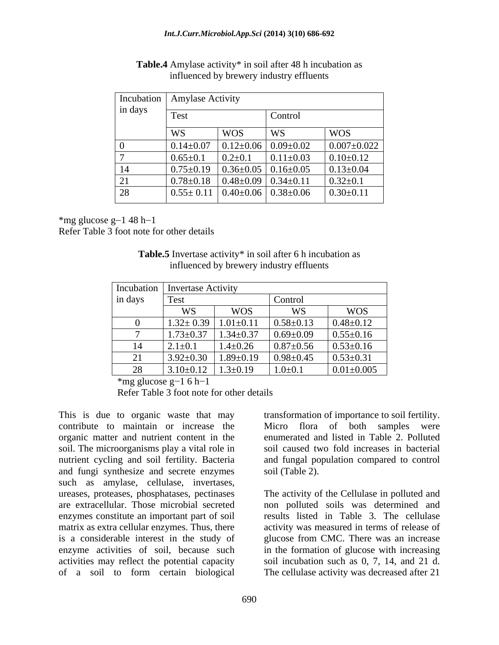| Test<br>Control |            |                                                |                                                                                                                                                                                                                                                                                          |
|-----------------|------------|------------------------------------------------|------------------------------------------------------------------------------------------------------------------------------------------------------------------------------------------------------------------------------------------------------------------------------------------|
| WS              | <b>WOS</b> | WS                                             | <b>WOS</b>                                                                                                                                                                                                                                                                               |
|                 |            |                                                | $0.007 \pm 0.022$                                                                                                                                                                                                                                                                        |
| $0.65 \pm 0.1$  |            | $0.11 \pm 0.03$                                | $0.10 \pm 0.12$                                                                                                                                                                                                                                                                          |
|                 |            |                                                | $0.13 \pm 0.04$                                                                                                                                                                                                                                                                          |
|                 |            |                                                | $0.32 \pm 0.1$                                                                                                                                                                                                                                                                           |
|                 |            |                                                | $0.30 \pm 0.11$                                                                                                                                                                                                                                                                          |
|                 |            | Incubation   Amylase Activity<br>$0.2 \pm 0.1$ | $\vert 0.14 \pm 0.07 \vert 0.12 \pm 0.06 \vert 0.09 \pm 0.02 \vert$<br>$\vert 0.75 \pm 0.19 \vert 0.36 \pm 0.05 \vert 0.16 \pm 0.05 \vert$<br>$\vert 0.78 \pm 0.18 \vert 0.48 \pm 0.09 \vert 0.34 \pm 0.11 \vert$<br>$\vert 0.55 \pm 0.11 \vert 0.40 \pm 0.06 \vert 0.38 \pm 0.06 \vert$ |

**Table.4** Amylase activity\* in soil after 48 h incubation as influenced by brewery industry effluents

 $*$ mg glucose g $-1$  48 h $-1$ 

Refer Table 3 foot note for other details

| Table.5 In<br>l after 6 h incubation as<br>1 <sub>n</sub> soil<br>$\sigma$ invertase activity. |  |
|------------------------------------------------------------------------------------------------|--|
| $\overline{v}$ effluents<br>influenced by brewery industry.                                    |  |

| Incubation   Invertase Activity |                 |                 |                 |                  |
|---------------------------------|-----------------|-----------------|-----------------|------------------|
| in days                         | Test            |                 | Control         |                  |
|                                 | WS              | <b>WOS</b>      | WS              | <b>WOS</b>       |
|                                 | $1.32 \pm 0.39$ | $1.01 \pm 0.11$ | $0.58 \pm 0.13$ | $0.48 \pm 0.12$  |
|                                 | $1.73 \pm 0.37$ | $1.34 \pm 0.37$ | $0.69 \pm 0.09$ | $0.55 \pm 0.16$  |
|                                 | $2.1 \pm 0.1$   | $1.4 \pm 0.26$  | $0.87 \pm 0.56$ | $0.53 \pm 0.16$  |
| 21                              | $3.92 \pm 0.30$ | $1.89 \pm 0.19$ | $0.98 \pm 0.45$ | $0.53 \pm 0.31$  |
| $\bigcap$<br>$\angle 0$         | $3.10 \pm 0.12$ | $1.3 \pm 0.19$  | $1.0 \pm 0.1$   | $0.01 \pm 0.005$ |

 $*$ mg glucose g $-1$  6 h $-1$ 

Refer Table 3 foot note for other details

This is due to organic waste that may contribute to maintain or increase the Micro flora of both samples were organic matter and nutrient content in the soil. The microorganisms play a vital role in nutrient cycling and soil fertility. Bacteria and fungal population compared to control and fungi synthesize and secrete enzymes such as amylase, cellulase, invertases, ureases, proteases, phosphatases, pectinases The activity of the Cellulase in polluted and are extracellular. Those microbial secreted enzymes constitute an important part of soil matrix as extra cellular enzymes. Thus, there is a considerable interest in the study of glucose from CMC. There was an increase enzyme activities of soil, because such in the formation of glucose with increasing activities may reflect the potential capacity soil incubation such as 0, 7, 14, and 21 d.

transformation of importance to soil fertility. enumerated and listed in Table 2. Polluted soil caused two fold increases in bacterial soil (Table 2).

of a soil to form certain biological The cellulase activity was decreased after 21non polluted soils was determined and results listed in Table 3. The cellulase activity was measured in terms of release of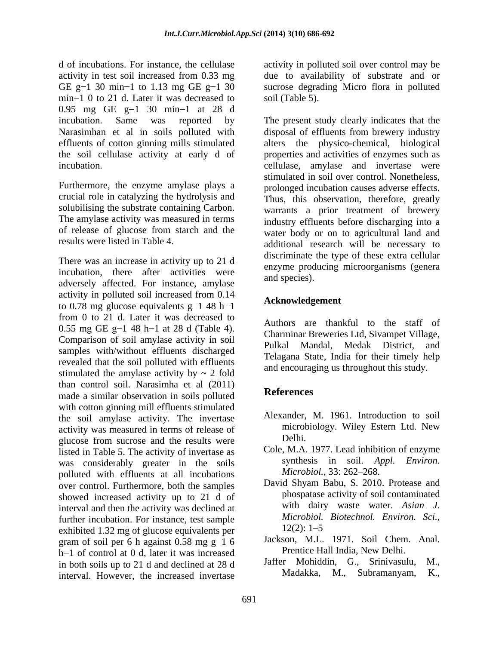GE g $-1$  30 min<sup>-1</sup> to 1.13 mg GE g<sup> $-1$ </sup> 30 min-1 0 to 21 d. Later it was decreased to 0.95 mg GE  $g-1$  30 min-1 at 28 d

Furthermore, the enzyme amylase plays a crucial role in catalyzing the hydrolysis and solubilising the substrate containing Carbon. The amylase activity was measured in terms<br>of release of glucose from starch and the

There was an increase in activity up to 21 d incubation, there after activities were and species). adversely affected. For instance, amylase activity in polluted soil increased from 0.14 to 0.78 mg glucose equivalents  $g-1$  48 h-1 from 0 to 21 d. Later it was decreased to 0.55 mg GE g $-1$  48 h $-1$  at 28 d (Table 4). Comparison of soil amylase activity in soil<br>Pulkal Mandal, Medak District, and samples with/without effluents discharged revealed that the soil polluted with effluents stimulated the amylase activity by  $\sim$  2 fold than control soil. Narasimha et al (2011) made a similar observation in soils polluted with cotton ginning mill effluents stimulated the soil amylase activity. The invertase activity was measured in terms of release of microb<br>gluoge from success and the results were glucose from sucrose and the results were listed in Table 5. The activity of invertase as was considerably greater in the soils<br>
molluted with effluents at all incubations<br>
Microbiol., 33:262–268. polluted with effluents at all incubations over control. Furthermore, both the samples showed increased activity up to 21 d of interval and then the activity was declined at further incubation. For instance, test sample  $\frac{Microbiol.}{\text{exhibited 1.32 mg of glucose equivalents per}}$  12(2): 1–5 exhibited 1.32 mg of glucose equivalents per gram of soil per 6 h against  $0.58$  mg g-1 6 h-1 of control at 0 d, later it was increased<br>in both soils up to 21 d and dealined at 28 d Jaffer Mohiddin. G. Srinivasulu. M. in both soils up to 21 d and declined at 28 d<br>interval However, the increased invertase Madakka, M., Subramanyam, K., interval. However, the increased invertase

d of incubations. For instance, the cellulase activity in polluted soil over control may be activity in test soil increased from 0.33 mg due to availability of substrate and or sucrose degrading Micro flora in polluted soil (Table 5).

incubation. Same was reported by The present study clearly indicates that the Narasimhan et al in soils polluted with disposal of effluents from brewery industry effluents of cotton ginning mills stimulated alters the physico-chemical, biological the soil cellulase activity at early d of properties and activities of enzymes such as incubation. cellulase, amylase and invertase were of release of glucose from starch and the water body or on to agricultural land and results were listed in Table 4. additional research will be necessary to stimulated in soil over control. Nonetheless, prolonged incubation causes adverse effects. Thus, this observation, therefore, greatly warrants a prior treatment of brewery industry effluents before discharging into a discriminate the type of these extra cellular enzyme producing microorganisms (genera and species).

## **Acknowledgement**

Authors are thankful to the staff of Charminar Breweries Ltd, Sivampet Village, Pulkal Mandal, Medak District, and Telagana State, India for their timely help and encouraging us throughout this study.

## **References**

- Alexander, M. 1961. Introduction to soil microbiology. Wiley Estern Ltd. New Delhi.
- Cole, M.A. 1977. Lead inhibition of enzyme synthesis in soil. *Appl. Environ. Microbiol.,* 33: 262–268.
- David Shyam Babu, S. 2010. Protease and phospatase activity of soil contaminated with dairy waste water. *Asian J. Microbiol. Biotechnol. Environ. Sci.,*  $12(2): 1 - 5$
- Jackson, M.L. 1971. Soil Chem. Anal. Prentice Hall India, New Delhi.
- Jaffer Mohiddin, G., Srinivasulu, Madakka, M., Subramanyam,